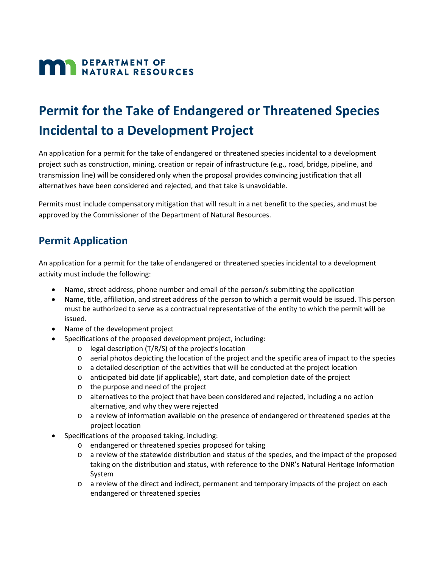# **MAN DEPARTMENT OF NATURAL RESOURCES**

# **Permit for the Take of Endangered or Threatened Species Incidental to a Development Project**

An application for a permit for the take of endangered or threatened species incidental to a development project such as construction, mining, creation or repair of infrastructure (e.g., road, bridge, pipeline, and transmission line) will be considered only when the proposal provides convincing justification that all alternatives have been considered and rejected, and that take is unavoidable.

Permits must include compensatory mitigation that will result in a net benefit to the species, and must be approved by the Commissioner of the Department of Natural Resources.

## **Permit Application**

An application for a permit for the take of endangered or threatened species incidental to a development activity must include the following:

- Name, street address, phone number and email of the person/s submitting the application
- Name, title, affiliation, and street address of the person to which a permit would be issued. This person must be authorized to serve as a contractual representative of the entity to which the permit will be issued.
- Name of the development project
- Specifications of the proposed development project, including:
	- o legal description (T/R/S) of the project's location
	- o aerial photos depicting the location of the project and the specific area of impact to the species
	- o a detailed description of the activities that will be conducted at the project location
	- o anticipated bid date (if applicable), start date, and completion date of the project
	- o the purpose and need of the project
	- o alternatives to the project that have been considered and rejected, including a no action alternative, and why they were rejected
	- o a review of information available on the presence of endangered or threatened species at the project location
- Specifications of the proposed taking, including:
	- o endangered or threatened species proposed for taking
	- o a review of the statewide distribution and status of the species, and the impact of the proposed taking on the distribution and status, with reference to the DNR's Natural Heritage Information System
	- o a review of the direct and indirect, permanent and temporary impacts of the project on each endangered or threatened species